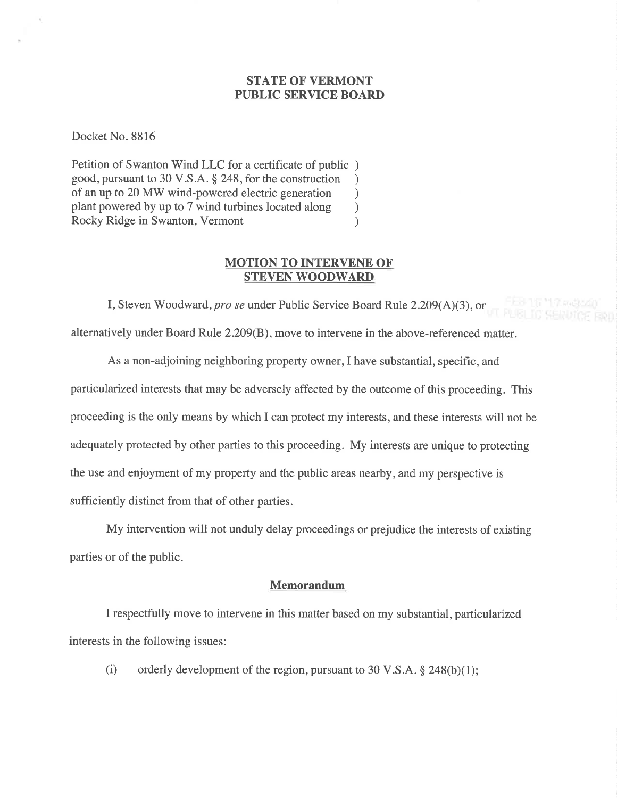## STATE OF VERMONT PUBLIC SERVICE BOARD

Docket No. 8816

Petition of Swanton Wind LLC for a certificate of public ) good, pursuant to 30 V.S.A. \$ 248, for the construction ) of an up to 20 MW wind-powered electric generation <br>plant powered by up to 7 wind turbines located along ) plant powered by up to 7 wind turbines located along ) Rocky Ridge in Swanton, Vermont (1988)

## MOTION TO INTERVENE OF STEVEN WOODWARD

I, Steven Woodward, pro se under Public Service Board Rule 2.209(A)(3), or alternatively under Board Rule 2.209(B), move to intervene in the above-referenced matter.

As a non-adjoining neighboring property owner,I have substantial, specific, and particularized interests that may be adversely affected by the outcome of this proceeding. This proceeding is the only means by which I can protect my interests, and these interests will not be adequately protected by other parties to this proceeding. My interests are unique to protecting the use and enjoyment of my property and the public areas nearby, and my perspective is sufficiently distinct from that of other parties.

My intervention will not unduly delay proceedings or prejudice the interests of existing parties or of the public.

### Memorandum

I respectfully move to intervene in this matter based on my substantial, particularized interests in the following issues:

(i) orderly development of the region, pursuant to 30 V.S.A.  $\S$  248(b)(1);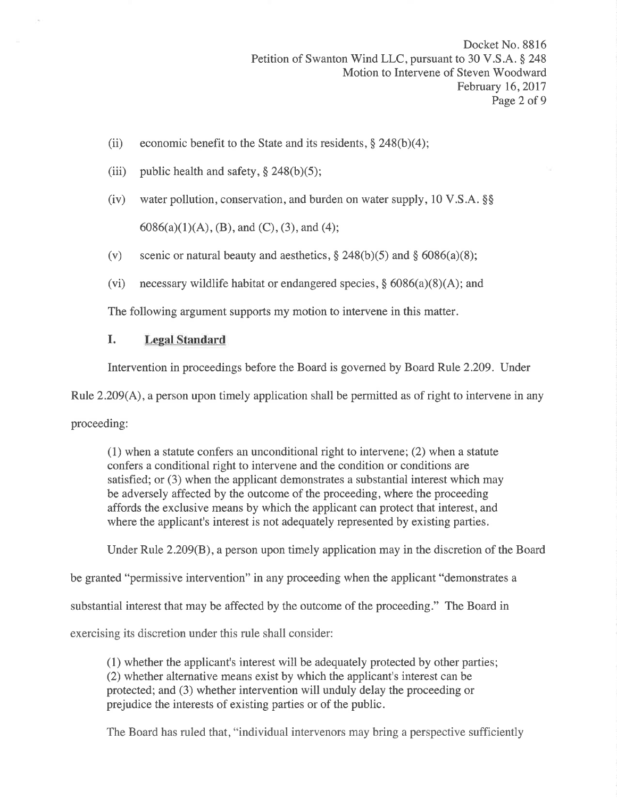- (ii) economic benefit to the State and its residents,  $\S 248(b)(4)$ ;
- (iii) public health and safety,  $\S 248(b)(5)$ ;
- (iv) water pollution, conservation, and burden on water supply,  $10 \text{ V.S.A. }$ §§  $6086(a)(1)(A), (B),$  and  $(C), (3),$  and  $(4)$ ;
- (v) scenic or natural beauty and aesthetics,  $\S 248(b)(5)$  and  $\S 6086(a)(8)$ ;
- (vi) necessary wildlife habitat or endangered species,  $\S$  6086(a)(8)(A); and

The following argument supports my motion to intervene in this matter.

## I. Legal Standard

Intervention in proceedings before the Board is governed by Board Rule 2.209. Under

Rule 2.209(A), a person upon timely application shall be permitted as of right to intervene in any

proceeding:

(1) when a statute confers an unconditional right to intervene; (2) when a statute confers a conditional right to intervene and the condition or conditions are satisfied; or (3) when the applicant demonstrates a substantial interest which may be adversely affected by the outcome of the proceeding, where the proceeding affords the exclusive means by which the applicant can protect that interest, and where the applicant's interest is not adequately represented by existing parties.

Under Rule 2.209(8), a person upon timely application may in the discretion of the Board

be granted "permissive intervention" in any proceeding when the applicant "demonstrates a

substantial interest that may be affected by the outcome of the proceeding." The Board in

exercising its discretion under this rule shall consider:

(1) whether the applicant's interest will be adequately protected by other parties; (2) whether alternative means exist by which the applicant's interest can be protected; and (3) whether intervention will unduly delay the proceeding or prejudice the interests of existing parties or of the public.

The Board has ruled that, "individual intervenors may bring a perspective sufficiently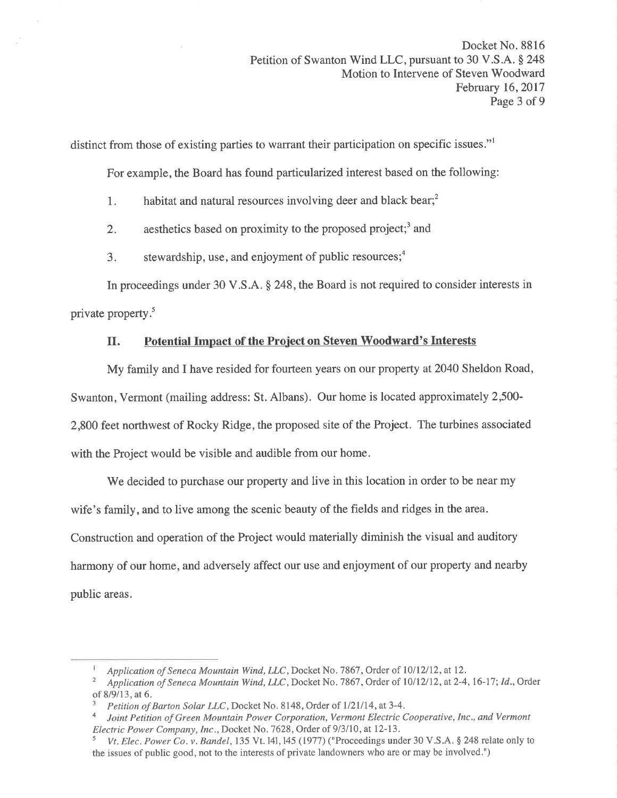distinct from those of existing parties to warrant their participation on specific issues."<sup>1</sup>

For example, the Board has found particularized interest based on the following:

- 1. habitat and natural resources involving deer and black bear;<sup>2</sup>
- 2. aesthetics based on proximity to the proposed project;<sup>3</sup> and
- 3. stewardship, use, and enjoyment of public resources;<sup>4</sup>

In proceedings under 30 V.S.A. \$ 248, the Board is not required to consider interests in private property.<sup>5</sup>

# II. Potential Impact of the Project on Steven Woodward's Interests

My family and I have resided for fourteen years on our property at 2040 Sheldon Road, Swanton, Vermont (mailing address: St. Albans). Our home is located approximately 2,500- 2,800 feet northwest of Rocky Ridge, the proposed site of the Project. The turbines associated with the Project would be visible and audible from our home.

We decided to purchase our property and live in this location in order to be near my wife's family, and to live among the scenic beauty of the fields and ridges in the area. Construction and operation of the Project would materially diminish the visual and auditory harmony of our home, and adversely affect our use and enjoyment of our property and nearby public areas.

Application of Seneca Mountain Wind, LLC, Docket No. 7867, Order of 10/12/12, at 12.<br>Application of Seneca Mountain Wind, LLC, Docket No. 7867, Order of 10/12/12, at 2-4, 16-17; Id., Order of 8/9/13, at 6.  $\frac{3}{P}$  Petition of Barton Solar LLC, Docket No. 8148, Order of 1/21/14, at 3-4.

a Joint Petition of Green Mountain Power Corporation, Vermont Electric Cooperative, Inc., and Vermont Electric Power Company, Inc., Docket No. 7628, Order of 9/3/10, at 12-13.

Vt. Elec. Power Co. v. Bandel, 135 Vt. 141, 145 (1977) ("Proceedings under 30 V.S.A. § 248 relate only to the issues of public good, not to the interests of private landowners who are or may be involved.")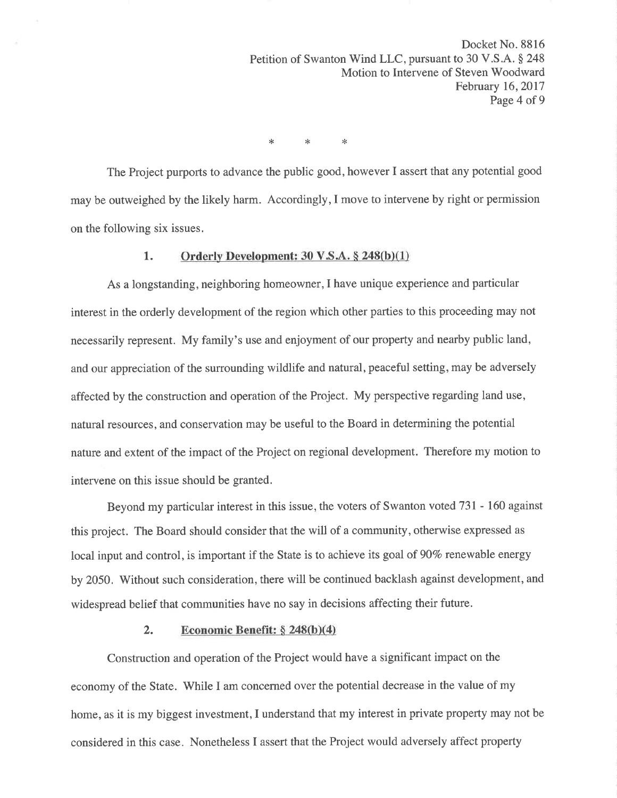Docket No. 8816 Petition of Swanton Wind LLC, pursuant to 30 V.S.A. § 248 Motion to Intervene of Steven Woodward February 16,2017 Page 4 of 9

\* \* \*

The Project purports to advance the public good, however I assert that any potential good may be outweighed by the likely harm. Accordingly,I move to intervene by right or permission on the following six issues.

### 1. Orderly Development:  $30 \text{ V.S.A.} \$   $248(b)(1)$

As a longstanding, neighboring homeowner,I have unique experience and particular interest in the orderly development of the region which other parties to this proceeding may not necessarily represent. My family's use and enjoyment of our property and nearby public land, and our appreciation of the surrounding wildlife and natural, peaceful setting, may be adversely affected by the construction and operation of the Project. My perspective regarding land use, natural resources, and conservation may be useful to the Board in determining the potential nature and extent of the impact of the Project on regional development. Therefore my motion to intervene on this issue should be granted.

Beyond my particular interest in this issue, the voters of Swanton voted 731 - 160 against this project. The Board should consider that the will of a community, otherwise expressed as local input and control, is important if the State is to achieve its goal of 90% renewable energy by 2050. Without such consideration, there will be continued backlash against development, and widespread belief that communities have no say in decisions affecting their future.

### 2. Economic Benefit:  $\S 248(b)(4)$

Construction and operation of the Project would have a significant impact on the economy of the State. While I am concerned over the potential decrease in the value of my home, as it is my biggest investment, I understand that my interest in private property may not be considered in this case. Nonetheless I assert that the Project would adversely affect property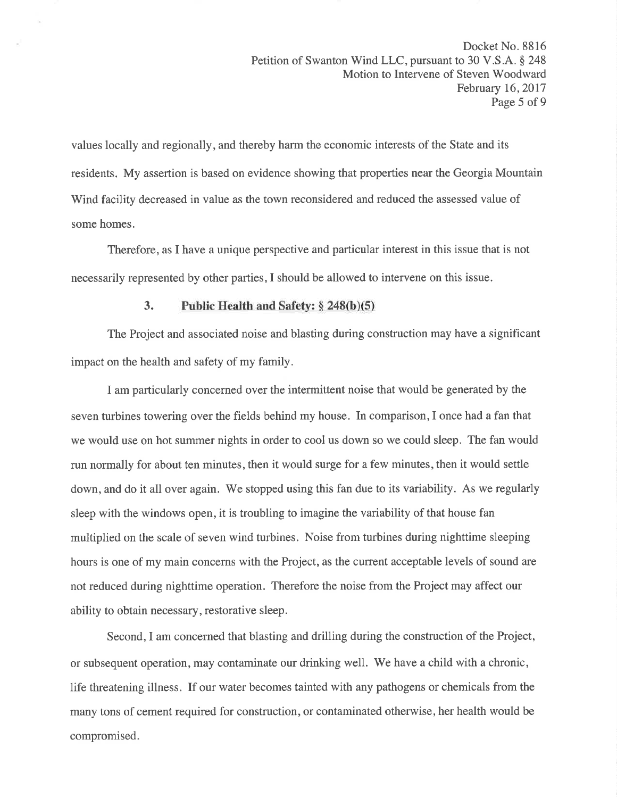values locally and regionally, and thereby harm the economic interests of the State and its residents. My assertion is based on evidence showing that properties near the Georgia Mountain Wind facility decreased in value as the town reconsidered and reduced the assessed value of some homes.

Therefore, as I have a unique perspective and particular interest in this issue that is not necessarily represented by other parties, I should be allowed to intervene on this issue.

## 3. Public Health and Safety:  $§ 248(b)(5)$

The Project and associated noise and blasting during construction may have a significant impact on the health and safety of my family.

I am particularly concerned over the intermittent noise that would be generated by the seven turbines towering over the fields behind my house. In comparison, I once had a fan that we would use on hot summer nights in order to cool us down so we could sleep. The fan would run normally for about ten minutes, then it would surge for a few minutes, then it would settle down, and do it all over again. We stopped using this fan due to its variability. As we regularly sleep with the windows open, it is troubling to imagine the variability of that house fan multiplied on the scale of seven wind turbines. Noise from turbines during nighttime sleeping hours is one of my main concerns with the Project, as the current acceptable levels of sound are not reduced during nighttime operation. Therefore the noise from the Project may affect our ability to obtain necessary, restorative sleep.

Second, I am concerned that blasting and drilling during the construction of the Project, or subsequent operation, may contaminate our drinking well. We have a child with a chronic, life threatening illness. If our water becomes tainted with any pathogens or chemicals from the many tons of cement required for construction, or contaminated otherwise, her health would be compromised.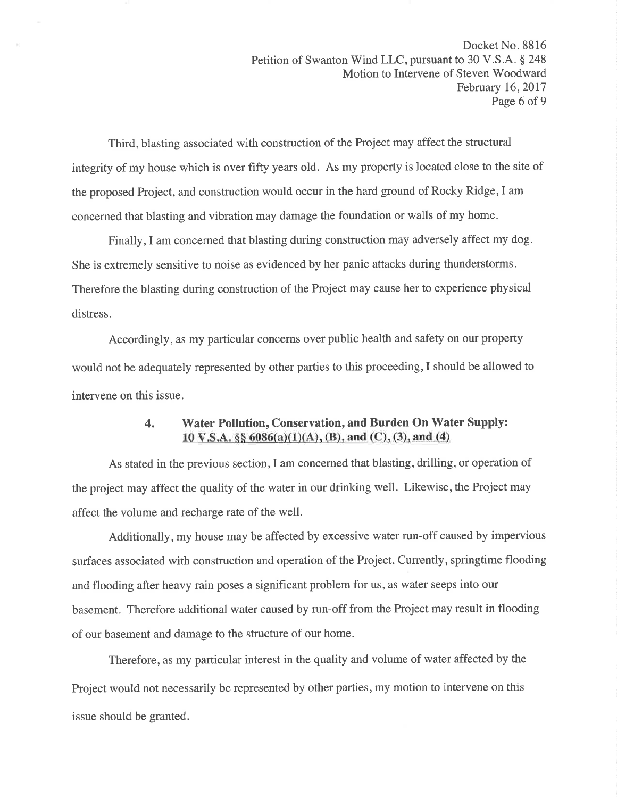Third, blasting associated with construction of the Project may affect the structural integrity of my house which is over fifty years old. As my property is located close to the site of the proposed Project, and construction would occur in the hard ground of Rocky Ridge, I am concerned that blasting and vibration may damage the foundation or walls of my home.

Finally,I am concerned that blasting during construction may adversely affect my dog. She is extremely sensitive to noise as evidenced by her panic attacks during thunderstorms. Therefore the blasting during construction of the Project may cause her to experience physical distress.

Accordingl), as my particular concerns over public health and safety on our property would not be adequately represented by other parties to this proceeding,I should be allowed to intervene on this issue.

# 4. Water Pollution, Conservation, and Burden On Water Supply: 10 V.S.A.  $\S\S 6086(a)(1)(A)$ , (B), and (C), (3), and (4)

As stated in the previous section, I am concerned that blasting, drilling, or operation of the project may affect the quality of the water in our drinking well. Likewise, the Project may affect the volume and recharge rate of the well.

Additionally, my house may be affected by excessive water run-off caused by impervious surfaces associated with construction and operation of the Project. Currently, springtime flooding and flooding after heavy rain poses a significant problem for us, as water seeps into our basement. Therefore additional water caused by run-off from the Project may result in flooding of our basement and damage to the structure of our home.

Therefore, as my particular interest in the quality and volume of water affected by the Project would not necessarily be represented by other parties, my motion to intervene on this issue should be granted.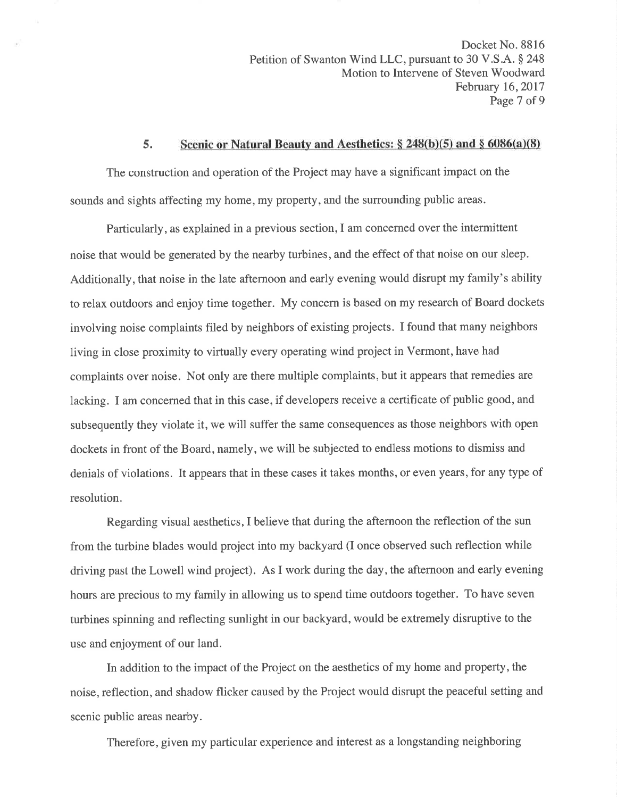Docket No. 8816 Petition of Swanton Wind LLC, pursuant to 30 V.S.A. § 248 Motion to Intervene of Steven Woodward February 16,2017 Page 7 of 9

### 5. Scenic or Natural Beauty and Aesthetics:  $\S 248(b)(5)$  and  $\S 6086(a)(8)$

The construction and operation of the Project may have a significant impact on the sounds and sights affecting my home, my property, and the surrounding public areas.

Particularly, as explained in a previous section, I am concerned over the intermittent noise that would be generated by the nearby turbines, and the effect of that noise on our sleep. Additionally, that noise in the late afternoon and early evening would disrupt my family's ability to relax outdoors and enjoy time together. My concern is based on my research of Board dockets involving noise complaints filed by neighbors of existing projects. I found that many neighbors living in close proximity to virtually every operating wind project in Vermont, have had complaints over noise. Not only are there multiple complaints, but it appears that remedies are lacking. I am concerned that in this case, if developers receive a certificate of public good, and subsequently they violate it, we will suffer the same consequences as those neighbors with open dockets in front of the Board, namely, we will be subjected to endless motions to dismiss and denials of violations. It appears that in these cases it takes months, or even years, for any type of resolution.

Regarding visual aesthetics, I believe that during the afternoon the reflection of the sun from the turbine blades would project into my backyard (I once observed such reflection while driving past the Lowell wind project). As I work during the day, the afternoon and early evening hours are precious to my family in allowing us to spend time outdoors together. To have seven turbines spinning and reflecting sunlight in our backyard, would be extremely disruptive to the use and enjoyment of our land.

In addition to the impact of the Project on the aesthetics of my home and property, the noise, reflection, and shadow flicker caused by the Project would disrupt the peaceful setting and scenic public areas nearby.

Therefore, given my particular experience and interest as a longstanding neighboring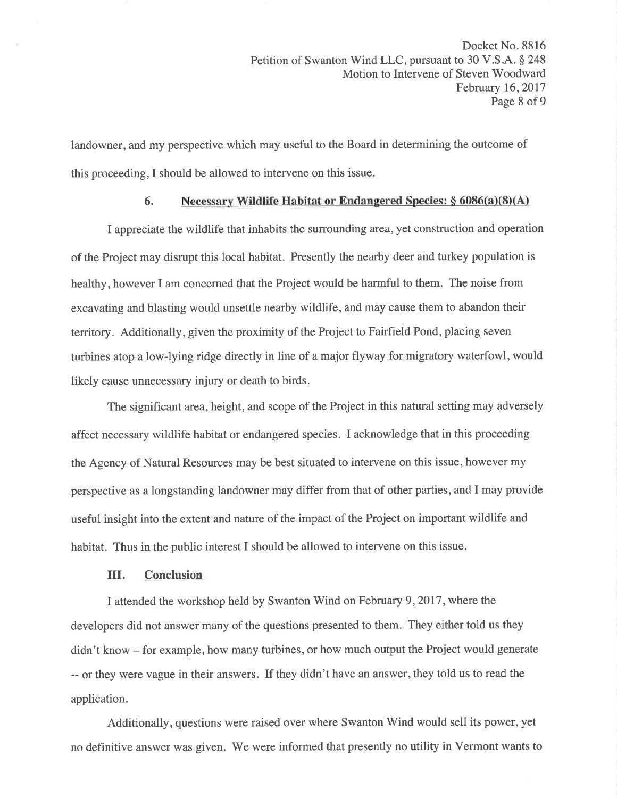landowner, and my perspective which may useful to the Board in determining the outcome of this proceeding,I should be allowed to intervene on this issue.

## 6. Necessary Wildlife Habitat or Endangered Species:  $§ 6086(a)(8)(A)$

I appreciate the wildlife that inhabits the surrounding area, yet construction and operation of the Project may disrupt this local habitat. Presently the nearby deer and turkey population is healthy, however I am concerned that the Project would be harmful to them. The noise from excavating and blasting would unsettle nearby wildlife, and may cause them to abandon their territory. Additionally, given the proximity of the Project to Fairfield Pond, placing seven turbines atop a low-lying ridge directly in line of a major flyway for migratory waterfowl, would likely cause unnecessary injury or death to birds.

The significant area, height, and scope of the Project in this natural setting may adversely affect necessary wildlife habitat or endangered species. I acknowledge that in this proceeding the Agency of Natural Resources may be best situated to intervene on this issue, however my perspective as a longstanding landowner may differ from that of other parties, and I may provide useful insight into the extent and nature of the impact of the Project on important wildlife and habitat. Thus in the public interest I should be allowed to intervene on this issue.

#### III. Conclusion

I attended the workshop held by Swanton Wind on February 9,2017, where the developers did not answer many of the questions presented to them. They either told us they didn't know - for example, how many turbines, or how much output the Project would generate -- or they were vague in their answers. If they didn't have an answer, they told us to read the application.

Additionally, questions were raised over where Swanton Wind would sell its power, yet no definitive answer was given. We were informed that presently no utility in Vermont wants to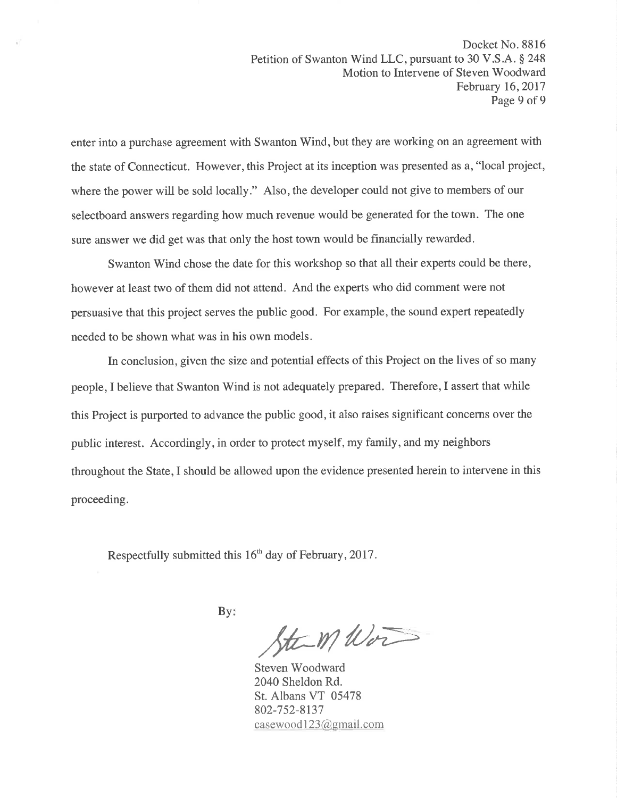enter into a purchase agreement with Swanton Wind, but they are working on an agreement with the state of Connecticut. However, this Project at its inception was presented as a, "local project, where the power will be sold locally." Also, the developer could not give to members of our selectboard answers regarding how much revenue would be generated for the town. The one sure answer we did get was that only the host town would be financially rewarded.

Swanton Wind chose the date for this workshop so that all their experts could be there, however at least two of them did not attend. And the experts who did comment were not persuasive that this project serves the public good. For example, the sound expert repeatedly needed to be shown what was in his own models.

In conclusion, given the size and potential effects of this Project on the lives of so many people, I believe that Swanton Wind is not adequately prepared. Therefore, I assert that while this Project is purported to advance the public good, it also raises significant concerns over the public interest. Accordingly, in order to protect myself, my family, and my neighbors throughout the State, I should be allowed upon the evidence presented herein to intervene in this proceeding.

Respectfully submitted this  $16<sup>th</sup>$  day of February, 2017.

 $By:$ 

 $\frac{1}{\sqrt{t}}$  M/ $\frac{1}{\sqrt{t}}$ 

2040 Sheldon Rd. St. Albans VT 05478 802-7s2-8137 casewood123@gmail.com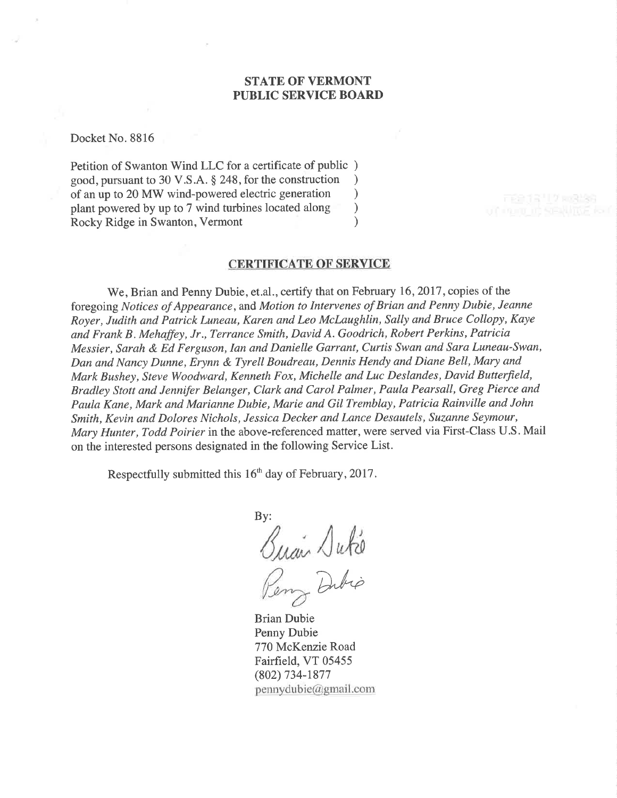### STATE OF VERMONT PUBLIC SERVICE BOARD

Docket No. 8816

Petition of Swanton Wind LLC for a certificate of public ) good, pursuant to 30 V.S.A. § 248, for the construction <br>of an up to 20 MW wind-powered electric generation  $\qquad$ of an up to 20 MW wind-powered electric generation<br>plant powered by up to 7 wind turbines located along plant powered by up to 7 wind turbines located along (a) Rocky Ridge in Swanton. Vermont Rocky Ridge in Swanton, Vermont )

### CERTIFICATE OF SERVICE

We, Brian and Penny Dubie, et.al., certify that on February 16, 2017, copies of the foregoing Notices of Appearance, and Motion to Intervenes of Brian and Penny Dubie, Jeanne Royer, Judith and Patrick Luneau, Karen and Leo Mclaughlin, Sally and Bruce Collopy, Kaye and Frank B. Mehaffey, Jr., Terrance Smith, David A. Goodrich, Robert Perkins, Patricia Messier, Sarah & Ed Ferguson, Ian and Danielle Garrant, Curtis Swan and Sara Luneau-Swan, Dan and Nancy Dunne, Erynn & Tyrell Boudreau, Dennis Hendy and Diane Bell, Mary and Mark Bushey, Steve Woodward, Kenneth Fox, Michelle and Luc Deslandes, David Butterfield, Bradley Stott and Jennifer Belanger, Clark and Carol Palmer, Paula Pearsall, Greg Pierce and Paula Kane, Mark and Marianne Dubie, Marie and Gil Tremblay, Patricia Rainville and John Smith, Kevin and Dolores Nichols, Jessica Decker and Lance Desautels, Suzanne Seymour, Mary Hunter, Todd Poirier in the above-referenced matter, were served via First-Class U.S. Mail on the interested persons designated in the following Service List.

Respectfully submitted this  $16<sup>th</sup>$  day of February, 2017.

By: Buan Dute Dubio

Brian Dubie Penny Dubie 770 McKenzie Road Fairfield, VT 05455 (802) 734-1877  $pennydubic@gmail.com$